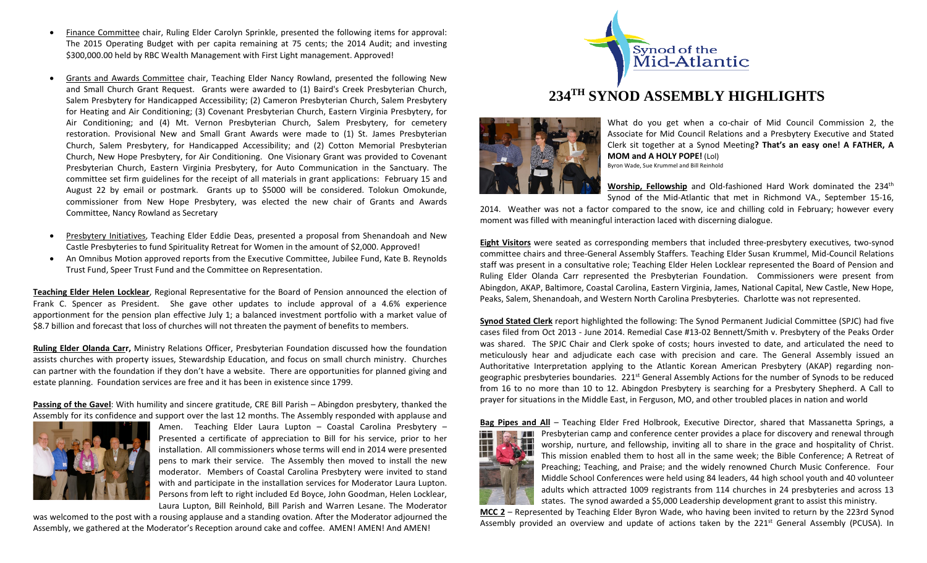- Finance Committee chair, Ruling Elder Carolyn Sprinkle, presented the following items for approval: The 2015 Operating Budget with per capita remaining at 75 cents; the 2014 Audit; and investing \$300,000.00 held by RBC Wealth Management with First Light management. Approved!
- Grants and Awards Committee chair, Teaching Elder Nancy Rowland, presented the following New and Small Church Grant Request. Grants were awarded to (1) Baird's Creek Presbyterian Church, Salem Presbytery for Handicapped Accessibility; (2) Cameron Presbyterian Church, Salem Presbytery for Heating and Air Conditioning; (3) Covenant Presbyterian Church, Eastern Virginia Presbytery, for Air Conditioning; and (4) Mt. Vernon Presbyterian Church, Salem Presbytery, for cemetery restoration. Provisional New and Small Grant Awards were made to (1) St. James Presbyterian Church, Salem Presbytery, for Handicapped Accessibility; and (2) Cotton Memorial Presbyterian Church, New Hope Presbytery, for Air Conditioning. One Visionary Grant was provided to Covenant Presbyterian Church, Eastern Virginia Presbytery, for Auto Communication in the Sanctuary. The committee set firm guidelines for the receipt of all materials in grant applications: February 15 and August 22 by email or postmark. Grants up to \$5000 will be considered. Tolokun Omokunde, commissioner from New Hope Presbytery, was elected the new chair of Grants and Awards Committee, Nancy Rowland as Secretary
- Presbytery Initiatives, Teaching Elder Eddie Deas, presented a proposal from Shenandoah and New Castle Presbyteries to fund Spirituality Retreat for Women in the amount of \$2,000. Approved!
- An Omnibus Motion approved reports from the Executive Committee, Jubilee Fund, Kate B. Reynolds Trust Fund, Speer Trust Fund and the Committee on Representation.

**Teaching Elder Helen Locklear**, Regional Representative for the Board of Pension announced the election of Frank C. Spencer as President. She gave other updates to include approval of a 4.6% experience apportionment for the pension plan effective July 1; a balanced investment portfolio with a market value of \$8.7 billion and forecast that loss of churches will not threaten the payment of benefits to members.

**Ruling Elder Olanda Carr,** Ministry Relations Officer, Presbyterian Foundation discussed how the foundation assists churches with property issues, Stewardship Education, and focus on small church ministry. Churches can partner with the foundation if they don't have a website. There are opportunities for planned giving and estate planning. Foundation services are free and it has been in existence since 1799.

**Passing of the Gavel**: With humility and sincere gratitude, CRE Bill Parish – Abingdon presbytery, thanked the Assembly for its confidence and support over the last 12 months. The Assembly responded with applause and



Amen. Teaching Elder Laura Lupton – Coastal Carolina Presbytery – Presented a certificate of appreciation to Bill for his service, prior to her installation. All commissioners whose terms will end in 2014 were presented pens to mark their service. The Assembly then moved to install the new moderator. Members of Coastal Carolina Presbytery were invited to stand with and participate in the installation services for Moderator Laura Lupton. Persons from left to right included Ed Boyce, John Goodman, Helen Locklear, Laura Lupton, Bill Reinhold, Bill Parish and Warren Lesane. The Moderator

was welcomed to the post with a rousing applause and a standing ovation. After the Moderator adjourned the Assembly, we gathered at the Moderator's Reception around cake and coffee. AMEN! AMEN! And AMEN!



## **234TH SYNOD ASSEMBLY HIGHLIGHTS**



What do you get when a co-chair of Mid Council Commission 2, the Associate for Mid Council Relations and a Presbytery Executive and Stated Clerk sit together at a Synod Meeting**? That's an easy one! A FATHER, A MOM and A HOLY POPE!** (Lol)

Byron Wade, Sue Krummel and Bill Reinhold

**Worship, Fellowship** and Old-fashioned Hard Work dominated the 234<sup>th</sup> Synod of the Mid-Atlantic that met in Richmond VA., September 15-16,

2014. Weather was not a factor compared to the snow, ice and chilling cold in February; however every moment was filled with meaningful interaction laced with discerning dialogue.

**Eight Visitors** were seated as corresponding members that included three-presbytery executives, two-synod committee chairs and three-General Assembly Staffers. Teaching Elder Susan Krummel, Mid-Council Relations staff was present in a consultative role; Teaching Elder Helen Locklear represented the Board of Pension and Ruling Elder Olanda Carr represented the Presbyterian Foundation. Commissioners were present from Abingdon, AKAP, Baltimore, Coastal Carolina, Eastern Virginia, James, National Capital, New Castle, New Hope, Peaks, Salem, Shenandoah, and Western North Carolina Presbyteries. Charlotte was not represented.

**Synod Stated Clerk** report highlighted the following: The Synod Permanent Judicial Committee (SPJC) had five cases filed from Oct 2013 - June 2014. Remedial Case #13-02 Bennett/Smith v. Presbytery of the Peaks Order was shared. The SPJC Chair and Clerk spoke of costs; hours invested to date, and articulated the need to meticulously hear and adjudicate each case with precision and care. The General Assembly issued an Authoritative Interpretation applying to the Atlantic Korean American Presbytery (AKAP) regarding nongeographic presbyteries boundaries. 221<sup>st</sup> General Assembly Actions for the number of Synods to be reduced from 16 to no more than 10 to 12. Abingdon Presbytery is searching for a Presbytery Shepherd. A Call to prayer for situations in the Middle East, in Ferguson, MO, and other troubled places in nation and world



**Bag Pipes and All** – Teaching Elder Fred Holbrook, Executive Director, shared that Massanetta Springs, a Presbyterian camp and conference center provides a place for discovery and renewal through worship, nurture, and fellowship, inviting all to share in the grace and hospitality of Christ. This mission enabled them to host all in the same week; the Bible Conference; A Retreat of Preaching; Teaching, and Praise; and the widely renowned Church Music Conference. Four Middle School Conferences were held using 84 leaders, 44 high school youth and 40 volunteer adults which attracted 1009 registrants from 114 churches in 24 presbyteries and across 13 states. The synod awarded a \$5,000 Leadership development grant to assist this ministry.

**MCC 2** – Represented by Teaching Elder Byron Wade, who having been invited to return by the 223rd Synod Assembly provided an overview and update of actions taken by the 221<sup>st</sup> General Assembly (PCUSA). In